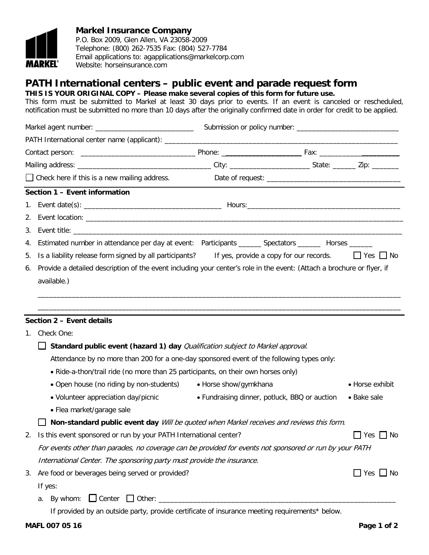

## **Markel Insurance Company**

P.O. Box 2009, Glen Allen, VA 23058-2009 Telephone: (800) 262-7535 Fax: (804) 527-7784 Email applications to: agapplications@markelcorp.com Website: horseinsurance.com

## **PATH International centers – public event and parade request form**

**THIS IS YOUR ORIGINAL COPY – Please make several copies of this form for future use.**

This form must be submitted to Markel at least 30 days prior to events. If an event is canceled or rescheduled, notification must be submitted no more than 10 days after the originally confirmed date in order for credit to be applied.

|    | $\Box$ Check here if this is a new mailing address.                                                                    |                                               |  |  |                      |  |
|----|------------------------------------------------------------------------------------------------------------------------|-----------------------------------------------|--|--|----------------------|--|
|    | Section 1 - Event information                                                                                          |                                               |  |  |                      |  |
|    |                                                                                                                        |                                               |  |  |                      |  |
| 2. |                                                                                                                        |                                               |  |  |                      |  |
| 3. |                                                                                                                        |                                               |  |  |                      |  |
| 4. | Estimated number in attendance per day at event: Participants _______ Spectators _______ Horses _______                |                                               |  |  |                      |  |
| 5. | Is a liability release form signed by all participants? If yes, provide a copy for our records.                        |                                               |  |  | $\Box$ Yes $\Box$ No |  |
| 6. | Provide a detailed description of the event including your center's role in the event: (Attach a brochure or flyer, if |                                               |  |  |                      |  |
|    | available.)                                                                                                            |                                               |  |  |                      |  |
|    |                                                                                                                        |                                               |  |  |                      |  |
|    |                                                                                                                        |                                               |  |  |                      |  |
|    | Section 2 - Event details                                                                                              |                                               |  |  |                      |  |
| 1. | Check One:                                                                                                             |                                               |  |  |                      |  |
|    | Standard public event (hazard 1) day Qualification subject to Markel approval.                                         |                                               |  |  |                      |  |
|    | Attendance by no more than 200 for a one-day sponsored event of the following types only:                              |                                               |  |  |                      |  |
|    | • Ride-a-thon/trail ride (no more than 25 participants, on their own horses only)                                      |                                               |  |  |                      |  |
|    | • Open house (no riding by non-students) • Horse show/gymkhana                                                         |                                               |  |  | • Horse exhibit      |  |
|    | · Volunteer appreciation day/picnic                                                                                    | • Fundraising dinner, potluck, BBQ or auction |  |  | • Bake sale          |  |
|    | • Flea market/garage sale                                                                                              |                                               |  |  |                      |  |
|    | Non-standard public event day Will be quoted when Markel receives and reviews this form.                               |                                               |  |  |                      |  |
|    | 2. Is this event sponsored or run by your PATH International center?                                                   |                                               |  |  | $\Box$ Yes $\Box$ No |  |
|    | For events other than parades, no coverage can be provided for events not sponsored or run by your PATH                |                                               |  |  |                      |  |
|    | International Center. The sponsoring party must provide the insurance.                                                 |                                               |  |  |                      |  |
| 3. | Are food or beverages being served or provided?                                                                        |                                               |  |  | $\Box$ Yes $\Box$ No |  |
|    | If yes:                                                                                                                |                                               |  |  |                      |  |
|    | By whom: $\Box$ Center $\Box$ Other: $\Box$<br>а.                                                                      |                                               |  |  |                      |  |
|    | If provided by an outside party, provide certificate of insurance meeting requirements* below.                         |                                               |  |  |                      |  |